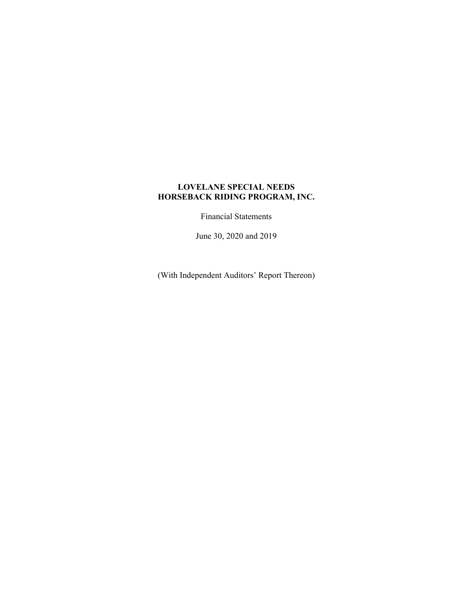Financial Statements

June 30, 2020 and 2019

(With Independent Auditors' Report Thereon)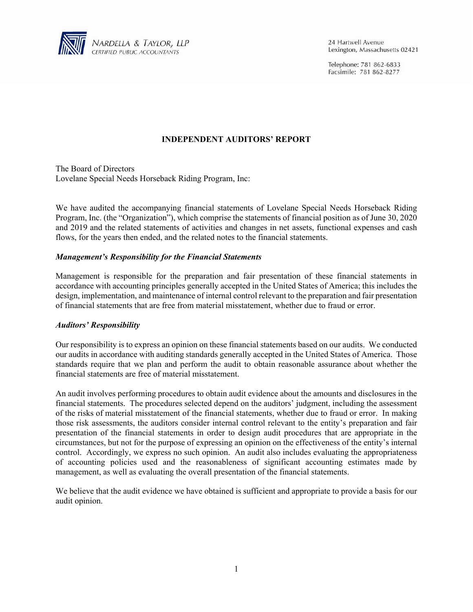

24 Hartwell Avenue Lexington, Massachusetts 02421

Telephone: 781 862-6833 Facsimile: 781 862-8277

## **INDEPENDENT AUDITORS' REPORT**

The Board of Directors Lovelane Special Needs Horseback Riding Program, Inc:

We have audited the accompanying financial statements of Lovelane Special Needs Horseback Riding Program, Inc. (the "Organization"), which comprise the statements of financial position as of June 30, 2020 and 2019 and the related statements of activities and changes in net assets, functional expenses and cash flows, for the years then ended, and the related notes to the financial statements.

### *Management's Responsibility for the Financial Statements*

Management is responsible for the preparation and fair presentation of these financial statements in accordance with accounting principles generally accepted in the United States of America; this includes the design, implementation, and maintenance of internal control relevant to the preparation and fair presentation of financial statements that are free from material misstatement, whether due to fraud or error.

#### *Auditors' Responsibility*

Our responsibility is to express an opinion on these financial statements based on our audits. We conducted our audits in accordance with auditing standards generally accepted in the United States of America. Those standards require that we plan and perform the audit to obtain reasonable assurance about whether the financial statements are free of material misstatement.

An audit involves performing procedures to obtain audit evidence about the amounts and disclosures in the financial statements. The procedures selected depend on the auditors' judgment, including the assessment of the risks of material misstatement of the financial statements, whether due to fraud or error. In making those risk assessments, the auditors consider internal control relevant to the entity's preparation and fair presentation of the financial statements in order to design audit procedures that are appropriate in the circumstances, but not for the purpose of expressing an opinion on the effectiveness of the entity's internal control. Accordingly, we express no such opinion. An audit also includes evaluating the appropriateness of accounting policies used and the reasonableness of significant accounting estimates made by management, as well as evaluating the overall presentation of the financial statements.

We believe that the audit evidence we have obtained is sufficient and appropriate to provide a basis for our audit opinion.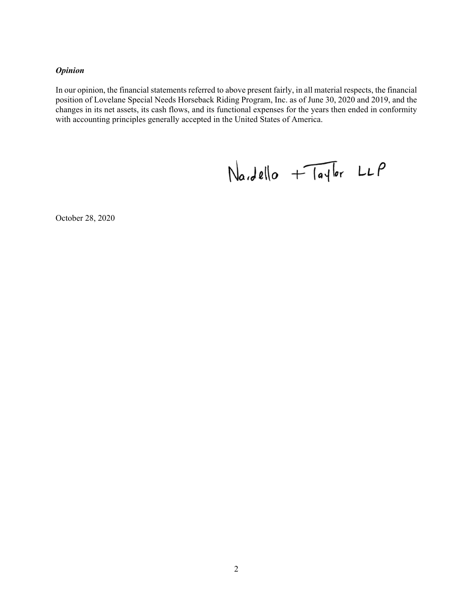## *Opinion*

In our opinion, the financial statements referred to above present fairly, in all material respects, the financial position of Lovelane Special Needs Horseback Riding Program, Inc. as of June 30, 2020 and 2019, and the changes in its net assets, its cash flows, and its functional expenses for the years then ended in conformity with accounting principles generally accepted in the United States of America.

 $NaJello + TaJlor LLP$ 

October 28, 2020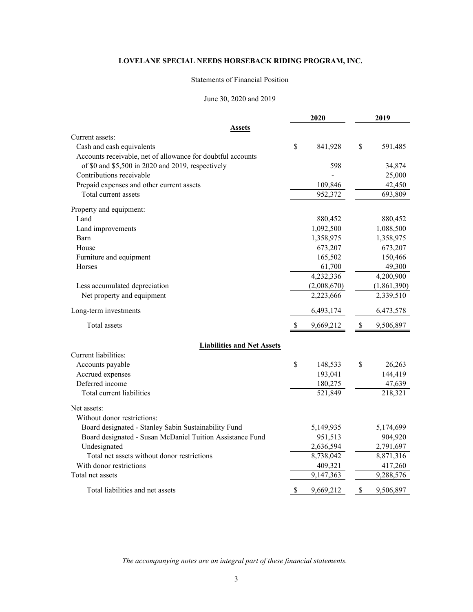#### Statements of Financial Position

#### June 30, 2020 and 2019

|                                                             |    | 2020        |               | 2019        |
|-------------------------------------------------------------|----|-------------|---------------|-------------|
| Assets                                                      |    |             |               |             |
| Current assets:                                             |    |             |               |             |
| Cash and cash equivalents                                   | \$ | 841,928     | \$            | 591,485     |
| Accounts receivable, net of allowance for doubtful accounts |    |             |               |             |
| of \$0 and \$5,500 in 2020 and 2019, respectively           |    | 598         |               | 34,874      |
| Contributions receivable                                    |    |             |               | 25,000      |
| Prepaid expenses and other current assets                   |    | 109,846     |               | 42,450      |
| Total current assets                                        |    | 952,372     |               | 693,809     |
| Property and equipment:                                     |    |             |               |             |
| Land                                                        |    | 880,452     |               | 880,452     |
| Land improvements                                           |    | 1,092,500   |               | 1,088,500   |
| Barn                                                        |    | 1,358,975   |               | 1,358,975   |
| House                                                       |    | 673,207     |               | 673,207     |
| Furniture and equipment                                     |    | 165,502     |               | 150,466     |
| Horses                                                      |    | 61,700      |               | 49,300      |
|                                                             |    | 4,232,336   |               | 4,200,900   |
| Less accumulated depreciation                               |    | (2,008,670) |               | (1,861,390) |
| Net property and equipment                                  |    | 2,223,666   |               | 2,339,510   |
| Long-term investments                                       |    | 6,493,174   |               | 6,473,578   |
| Total assets                                                | S. | 9,669,212   | $\mathcal{S}$ | 9,506,897   |
| <b>Liabilities and Net Assets</b>                           |    |             |               |             |
| Current liabilities:                                        |    |             |               |             |
| Accounts payable                                            | \$ | 148,533     | \$            | 26,263      |
| Accrued expenses                                            |    | 193,041     |               | 144,419     |
| Deferred income                                             |    | 180,275     |               | 47,639      |
| Total current liabilities                                   |    | 521,849     |               | 218,321     |
|                                                             |    |             |               |             |
| Net assets:                                                 |    |             |               |             |
| Without donor restrictions:                                 |    |             |               |             |
| Board designated - Stanley Sabin Sustainability Fund        |    | 5,149,935   |               | 5,174,699   |
| Board designated - Susan McDaniel Tuition Assistance Fund   |    | 951,513     |               | 904,920     |
| Undesignated                                                |    | 2,636,594   |               | 2,791,697   |
| Total net assets without donor restrictions                 |    | 8,738,042   |               | 8,871,316   |
| With donor restrictions                                     |    | 409,321     |               | 417,260     |
| Total net assets                                            |    | 9,147,363   |               | 9,288,576   |
| Total liabilities and net assets                            | \$ | 9,669,212   | \$            | 9,506,897   |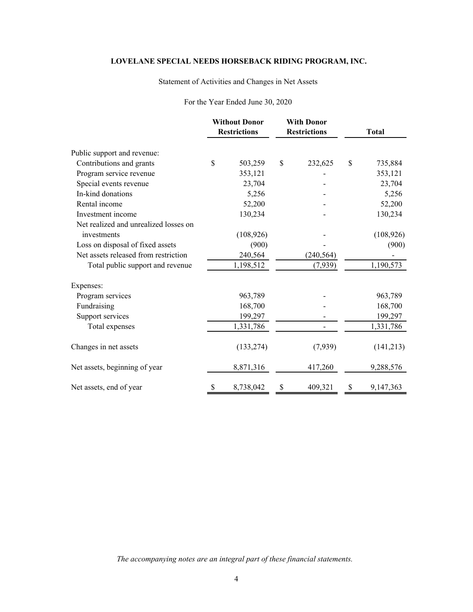## Statement of Activities and Changes in Net Assets

#### For the Year Ended June 30, 2020

|                                       | <b>Without Donor</b><br><b>Restrictions</b> |            | <b>With Donor</b><br><b>Restrictions</b> |            |    |            | <b>Total</b> |  |
|---------------------------------------|---------------------------------------------|------------|------------------------------------------|------------|----|------------|--------------|--|
| Public support and revenue:           |                                             |            |                                          |            |    |            |              |  |
| Contributions and grants              | \$                                          | 503,259    | \$                                       | 232,625    | \$ | 735,884    |              |  |
| Program service revenue               |                                             | 353,121    |                                          |            |    | 353,121    |              |  |
| Special events revenue                |                                             | 23,704     |                                          |            |    | 23,704     |              |  |
| In-kind donations                     |                                             | 5,256      |                                          |            |    | 5,256      |              |  |
| Rental income                         |                                             | 52,200     |                                          |            |    | 52,200     |              |  |
| Investment income                     |                                             | 130,234    |                                          |            |    | 130,234    |              |  |
| Net realized and unrealized losses on |                                             |            |                                          |            |    |            |              |  |
| investments                           |                                             | (108, 926) |                                          |            |    | (108, 926) |              |  |
| Loss on disposal of fixed assets      |                                             | (900)      |                                          |            |    | (900)      |              |  |
| Net assets released from restriction  |                                             | 240,564    |                                          | (240, 564) |    |            |              |  |
| Total public support and revenue      |                                             | 1,198,512  |                                          | (7,939)    |    | 1,190,573  |              |  |
| Expenses:                             |                                             |            |                                          |            |    |            |              |  |
| Program services                      |                                             | 963,789    |                                          |            |    | 963,789    |              |  |
| Fundraising                           |                                             | 168,700    |                                          |            |    | 168,700    |              |  |
| Support services                      |                                             | 199,297    |                                          |            |    | 199,297    |              |  |
| Total expenses                        |                                             | 1,331,786  |                                          |            |    | 1,331,786  |              |  |
| Changes in net assets                 |                                             | (133, 274) |                                          | (7,939)    |    | (141,213)  |              |  |
| Net assets, beginning of year         |                                             | 8,871,316  |                                          | 417,260    |    | 9,288,576  |              |  |
| Net assets, end of year               | \$                                          | 8,738,042  | \$                                       | 409,321    | \$ | 9,147,363  |              |  |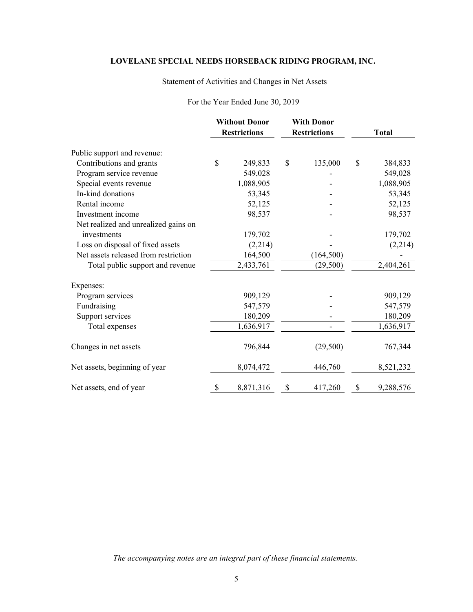## Statement of Activities and Changes in Net Assets

## For the Year Ended June 30, 2019

|                                      | <b>Without Donor</b><br><b>Restrictions</b> |           |    |            |                 |  | <b>With Donor</b><br><b>Restrictions</b> |  | <b>Total</b> |
|--------------------------------------|---------------------------------------------|-----------|----|------------|-----------------|--|------------------------------------------|--|--------------|
| Public support and revenue:          |                                             |           |    |            |                 |  |                                          |  |              |
| Contributions and grants             | $\mathcal{S}$                               | 249,833   | \$ | 135,000    | \$<br>384,833   |  |                                          |  |              |
| Program service revenue              |                                             | 549,028   |    |            | 549,028         |  |                                          |  |              |
| Special events revenue               |                                             | 1,088,905 |    |            | 1,088,905       |  |                                          |  |              |
| In-kind donations                    |                                             | 53,345    |    |            | 53,345          |  |                                          |  |              |
| Rental income                        |                                             | 52,125    |    |            | 52,125          |  |                                          |  |              |
| Investment income                    |                                             | 98,537    |    |            | 98,537          |  |                                          |  |              |
| Net realized and unrealized gains on |                                             |           |    |            |                 |  |                                          |  |              |
| investments                          |                                             | 179,702   |    |            | 179,702         |  |                                          |  |              |
| Loss on disposal of fixed assets     |                                             | (2,214)   |    |            | (2,214)         |  |                                          |  |              |
| Net assets released from restriction |                                             | 164,500   |    | (164, 500) |                 |  |                                          |  |              |
| Total public support and revenue     |                                             | 2,433,761 |    | (29, 500)  | 2,404,261       |  |                                          |  |              |
| Expenses:                            |                                             |           |    |            |                 |  |                                          |  |              |
| Program services                     |                                             | 909,129   |    |            | 909,129         |  |                                          |  |              |
| Fundraising                          |                                             | 547,579   |    |            | 547,579         |  |                                          |  |              |
| Support services                     |                                             | 180,209   |    |            | 180,209         |  |                                          |  |              |
| Total expenses                       |                                             | 1,636,917 |    |            | 1,636,917       |  |                                          |  |              |
| Changes in net assets                |                                             | 796,844   |    | (29,500)   | 767,344         |  |                                          |  |              |
| Net assets, beginning of year        |                                             | 8,074,472 |    | 446,760    | 8,521,232       |  |                                          |  |              |
| Net assets, end of year              | \$                                          | 8,871,316 | \$ | 417,260    | \$<br>9,288,576 |  |                                          |  |              |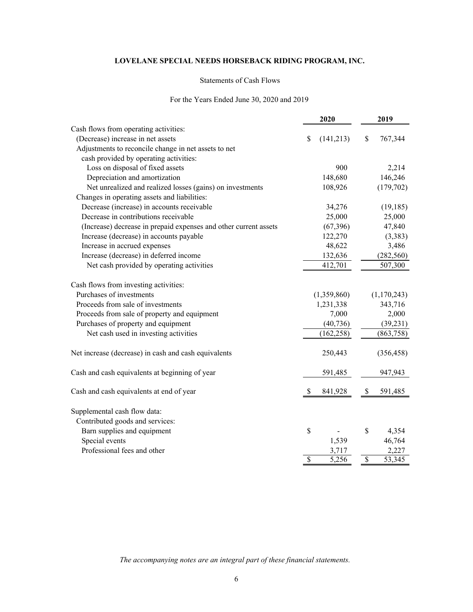#### Statements of Cash Flows

#### For the Years Ended June 30, 2020 and 2019

|                                                                  | 2020            |    | 2019        |  |
|------------------------------------------------------------------|-----------------|----|-------------|--|
| Cash flows from operating activities:                            |                 |    |             |  |
| (Decrease) increase in net assets                                | (141,213)<br>\$ | \$ | 767,344     |  |
| Adjustments to reconcile change in net assets to net             |                 |    |             |  |
| cash provided by operating activities:                           |                 |    |             |  |
| Loss on disposal of fixed assets                                 | 900             |    | 2,214       |  |
| Depreciation and amortization                                    | 148,680         |    | 146,246     |  |
| Net unrealized and realized losses (gains) on investments        | 108,926         |    | (179, 702)  |  |
| Changes in operating assets and liabilities:                     |                 |    |             |  |
| Decrease (increase) in accounts receivable                       | 34,276          |    | (19, 185)   |  |
| Decrease in contributions receivable                             | 25,000          |    | 25,000      |  |
| (Increase) decrease in prepaid expenses and other current assets | (67, 396)       |    | 47,840      |  |
| Increase (decrease) in accounts payable                          | 122,270         |    | (3,383)     |  |
| Increase in accrued expenses                                     | 48,622          |    | 3,486       |  |
| Increase (decrease) in deferred income                           | 132,636         |    | (282, 560)  |  |
| Net cash provided by operating activities                        | 412,701         |    | 507,300     |  |
| Cash flows from investing activities:                            |                 |    |             |  |
| Purchases of investments                                         | (1,359,860)     |    | (1,170,243) |  |
| Proceeds from sale of investments                                | 1,231,338       |    | 343,716     |  |
| Proceeds from sale of property and equipment                     | 7,000           |    | 2,000       |  |
| Purchases of property and equipment                              | (40, 736)       |    | (39, 231)   |  |
| Net cash used in investing activities                            | (162, 258)      |    | (863,758)   |  |
| Net increase (decrease) in cash and cash equivalents             | 250,443         |    | (356, 458)  |  |
| Cash and cash equivalents at beginning of year                   | 591,485         |    | 947,943     |  |
| Cash and cash equivalents at end of year                         | \$<br>841,928   | \$ | 591,485     |  |
| Supplemental cash flow data:                                     |                 |    |             |  |
| Contributed goods and services:                                  |                 |    |             |  |
| Barn supplies and equipment                                      | \$              | \$ | 4,354       |  |
| Special events                                                   | 1,539           |    | 46,764      |  |
| Professional fees and other                                      | 3,717           |    | 2,227       |  |
|                                                                  | \$<br>5,256     | \$ | 53,345      |  |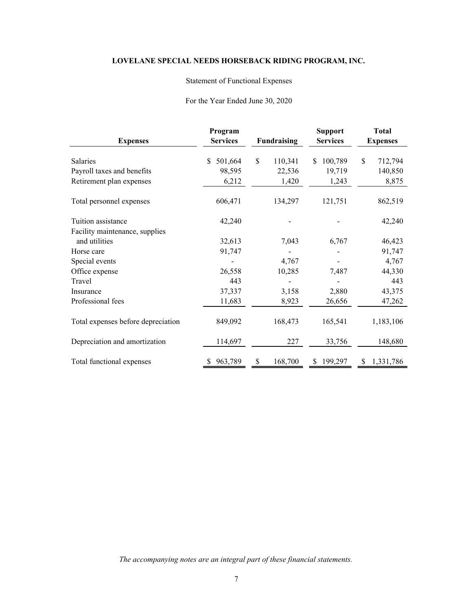## Statement of Functional Expenses

#### For the Year Ended June 30, 2020

| <b>Expenses</b>                    | Program<br><b>Services</b> | Fundraising |         | <b>Support</b><br><b>Services</b> |     | <b>Total</b><br><b>Expenses</b> |
|------------------------------------|----------------------------|-------------|---------|-----------------------------------|-----|---------------------------------|
| <b>Salaries</b>                    | 501,664<br>S.              | \$          | 110,341 | 100,789<br>S.                     | \$. | 712,794                         |
| Payroll taxes and benefits         | 98,595                     |             | 22,536  | 19,719                            |     | 140,850                         |
| Retirement plan expenses           | 6,212                      |             | 1,420   | 1,243                             |     | 8,875                           |
| Total personnel expenses           | 606,471                    |             | 134,297 | 121,751                           |     | 862,519                         |
| Tuition assistance                 | 42,240                     |             |         |                                   |     | 42,240                          |
| Facility maintenance, supplies     |                            |             |         |                                   |     |                                 |
| and utilities                      | 32,613                     |             | 7,043   | 6,767                             |     | 46,423                          |
| Horse care                         | 91,747                     |             |         |                                   |     | 91,747                          |
| Special events                     |                            |             | 4,767   |                                   |     | 4,767                           |
| Office expense                     | 26,558                     |             | 10,285  | 7,487                             |     | 44,330                          |
| Travel                             | 443                        |             |         |                                   |     | 443                             |
| Insurance                          | 37,337                     |             | 3,158   | 2,880                             |     | 43,375                          |
| Professional fees                  | 11,683                     |             | 8,923   | 26,656                            |     | 47,262                          |
| Total expenses before depreciation | 849,092                    |             | 168,473 | 165,541                           |     | 1,183,106                       |
| Depreciation and amortization      | 114,697                    |             | 227     | 33,756                            |     | 148,680                         |
| Total functional expenses          | 963,789                    | \$          | 168,700 | 199,297<br>S                      | S   | 1,331,786                       |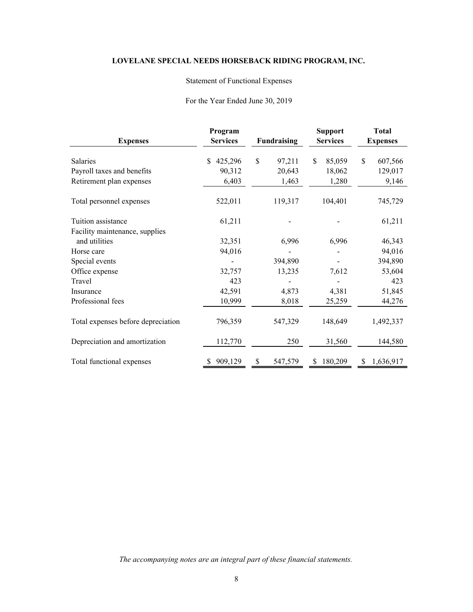## Statement of Functional Expenses

#### For the Year Ended June 30, 2019

| <b>Expenses</b>                    | Program<br><b>Services</b> | Fundraising |         |    | <b>Support</b><br><b>Services</b> |     | <b>Total</b><br><b>Expenses</b> |
|------------------------------------|----------------------------|-------------|---------|----|-----------------------------------|-----|---------------------------------|
| Salaries                           | 425,296<br>\$.             | \$          | 97,211  | \$ | 85,059                            | \$. | 607,566                         |
| Payroll taxes and benefits         | 90,312                     |             | 20,643  |    | 18,062                            |     | 129,017                         |
| Retirement plan expenses           | 6,403                      |             | 1,463   |    | 1,280                             |     | 9,146                           |
| Total personnel expenses           | 522,011                    |             | 119,317 |    | 104,401                           |     | 745,729                         |
| Tuition assistance                 | 61,211                     |             |         |    |                                   |     | 61,211                          |
| Facility maintenance, supplies     |                            |             |         |    |                                   |     |                                 |
| and utilities                      | 32,351                     |             | 6,996   |    | 6,996                             |     | 46,343                          |
| Horse care                         | 94,016                     |             |         |    |                                   |     | 94,016                          |
| Special events                     |                            |             | 394,890 |    |                                   |     | 394,890                         |
| Office expense                     | 32,757                     |             | 13,235  |    | 7,612                             |     | 53,604                          |
| Travel                             | 423                        |             |         |    |                                   |     | 423                             |
| Insurance                          | 42,591                     |             | 4,873   |    | 4,381                             |     | 51,845                          |
| Professional fees                  | 10,999                     |             | 8,018   |    | 25,259                            |     | 44,276                          |
| Total expenses before depreciation | 796,359                    |             | 547,329 |    | 148,649                           |     | 1,492,337                       |
| Depreciation and amortization      | 112,770                    |             | 250     |    | 31,560                            |     | 144,580                         |
| Total functional expenses          | 909,129                    | \$          | 547,579 | S  | 180,209                           | S   | 1,636,917                       |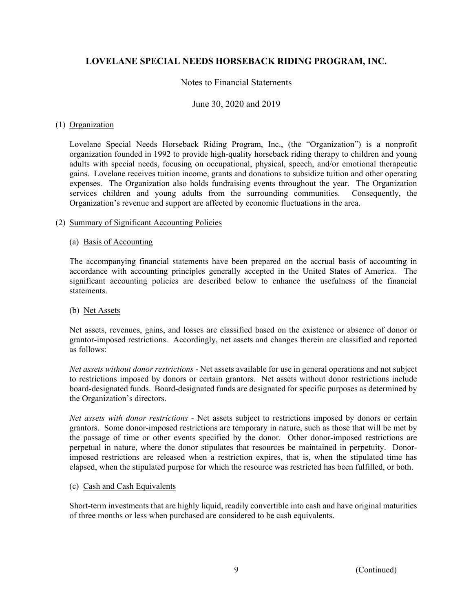## Notes to Financial Statements

### June 30, 2020 and 2019

### (1) Organization

Lovelane Special Needs Horseback Riding Program, Inc., (the "Organization") is a nonprofit organization founded in 1992 to provide high-quality horseback riding therapy to children and young adults with special needs, focusing on occupational, physical, speech, and/or emotional therapeutic gains. Lovelane receives tuition income, grants and donations to subsidize tuition and other operating expenses. The Organization also holds fundraising events throughout the year. The Organization services children and young adults from the surrounding communities. Consequently, the Organization's revenue and support are affected by economic fluctuations in the area.

#### (2) Summary of Significant Accounting Policies

### (a) Basis of Accounting

The accompanying financial statements have been prepared on the accrual basis of accounting in accordance with accounting principles generally accepted in the United States of America. The significant accounting policies are described below to enhance the usefulness of the financial statements.

#### (b) Net Assets

Net assets, revenues, gains, and losses are classified based on the existence or absence of donor or grantor-imposed restrictions. Accordingly, net assets and changes therein are classified and reported as follows:

*Net assets without donor restrictions* - Net assets available for use in general operations and not subject to restrictions imposed by donors or certain grantors. Net assets without donor restrictions include board-designated funds. Board-designated funds are designated for specific purposes as determined by the Organization's directors.

*Net assets with donor restrictions* - Net assets subject to restrictions imposed by donors or certain grantors. Some donor-imposed restrictions are temporary in nature, such as those that will be met by the passage of time or other events specified by the donor. Other donor-imposed restrictions are perpetual in nature, where the donor stipulates that resources be maintained in perpetuity. Donorimposed restrictions are released when a restriction expires, that is, when the stipulated time has elapsed, when the stipulated purpose for which the resource was restricted has been fulfilled, or both.

### (c) Cash and Cash Equivalents

Short-term investments that are highly liquid, readily convertible into cash and have original maturities of three months or less when purchased are considered to be cash equivalents.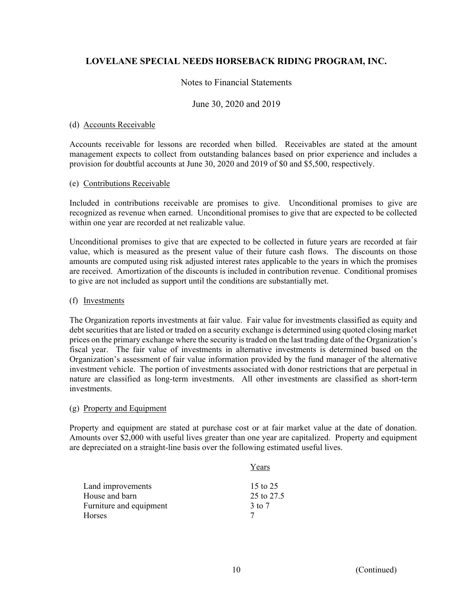## Notes to Financial Statements

### June 30, 2020 and 2019

### (d) Accounts Receivable

Accounts receivable for lessons are recorded when billed. Receivables are stated at the amount management expects to collect from outstanding balances based on prior experience and includes a provision for doubtful accounts at June 30, 2020 and 2019 of \$0 and \$5,500, respectively.

#### (e) Contributions Receivable

Included in contributions receivable are promises to give. Unconditional promises to give are recognized as revenue when earned. Unconditional promises to give that are expected to be collected within one year are recorded at net realizable value.

Unconditional promises to give that are expected to be collected in future years are recorded at fair value, which is measured as the present value of their future cash flows. The discounts on those amounts are computed using risk adjusted interest rates applicable to the years in which the promises are received. Amortization of the discounts is included in contribution revenue. Conditional promises to give are not included as support until the conditions are substantially met.

#### (f) Investments

The Organization reports investments at fair value. Fair value for investments classified as equity and debt securities that are listed or traded on a security exchange is determined using quoted closing market prices on the primary exchange where the security is traded on the last trading date of the Organization's fiscal year. The fair value of investments in alternative investments is determined based on the Organization's assessment of fair value information provided by the fund manager of the alternative investment vehicle. The portion of investments associated with donor restrictions that are perpetual in nature are classified as long-term investments. All other investments are classified as short-term investments.

#### (g) Property and Equipment

Property and equipment are stated at purchase cost or at fair market value at the date of donation. Amounts over \$2,000 with useful lives greater than one year are capitalized. Property and equipment are depreciated on a straight-line basis over the following estimated useful lives.

|                         | Years      |
|-------------------------|------------|
| Land improvements       | 15 to 25   |
| House and barn          | 25 to 27.5 |
| Furniture and equipment | 3 to 7     |
| <b>Horses</b>           |            |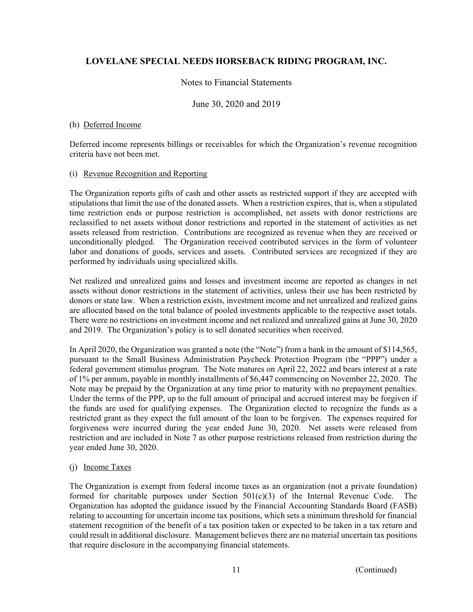## Notes to Financial Statements

## June 30, 2020 and 2019

### (h) Deferred Income

Deferred income represents billings or receivables for which the Organization's revenue recognition criteria have not been met.

#### (i) Revenue Recognition and Reporting

The Organization reports gifts of cash and other assets as restricted support if they are accepted with stipulations that limit the use of the donated assets. When a restriction expires, that is, when a stipulated time restriction ends or purpose restriction is accomplished, net assets with donor restrictions are reclassified to net assets without donor restrictions and reported in the statement of activities as net assets released from restriction. Contributions are recognized as revenue when they are received or unconditionally pledged. The Organization received contributed services in the form of volunteer labor and donations of goods, services and assets. Contributed services are recognized if they are performed by individuals using specialized skills.

Net realized and unrealized gains and losses and investment income are reported as changes in net assets without donor restrictions in the statement of activities, unless their use has been restricted by donors or state law. When a restriction exists, investment income and net unrealized and realized gains are allocated based on the total balance of pooled investments applicable to the respective asset totals. There were no restrictions on investment income and net realized and unrealized gains at June 30, 2020 and 2019. The Organization's policy is to sell donated securities when received.

In April 2020, the Organization was granted a note (the "Note") from a bank in the amount of \$114,565, pursuant to the Small Business Administration Paycheck Protection Program (the "PPP") under a federal government stimulus program. The Note matures on April 22, 2022 and bears interest at a rate of 1% per annum, payable in monthly installments of \$6,447 commencing on November 22, 2020. The Note may be prepaid by the Organization at any time prior to maturity with no prepayment penalties. Under the terms of the PPP, up to the full amount of principal and accrued interest may be forgiven if the funds are used for qualifying expenses. The Organization elected to recognize the funds as a restricted grant as they expect the full amount of the loan to be forgiven. The expenses required for forgiveness were incurred during the year ended June 30, 2020. Net assets were released from restriction and are included in Note 7 as other purpose restrictions released from restriction during the year ended June 30, 2020.

### (j) Income Taxes

The Organization is exempt from federal income taxes as an organization (not a private foundation) formed for charitable purposes under Section  $501(c)(3)$  of the Internal Revenue Code. The Organization has adopted the guidance issued by the Financial Accounting Standards Board (FASB) relating to accounting for uncertain income tax positions, which sets a minimum threshold for financial statement recognition of the benefit of a tax position taken or expected to be taken in a tax return and could result in additional disclosure. Management believes there are no material uncertain tax positions that require disclosure in the accompanying financial statements.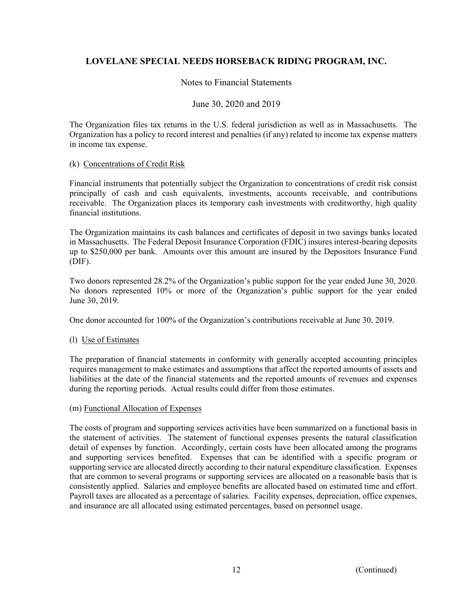## Notes to Financial Statements

## June 30, 2020 and 2019

The Organization files tax returns in the U.S. federal jurisdiction as well as in Massachusetts. The Organization has a policy to record interest and penalties (if any) related to income tax expense matters in income tax expense.

### (k) Concentrations of Credit Risk

Financial instruments that potentially subject the Organization to concentrations of credit risk consist principally of cash and cash equivalents, investments, accounts receivable, and contributions receivable. The Organization places its temporary cash investments with creditworthy, high quality financial institutions.

The Organization maintains its cash balances and certificates of deposit in two savings banks located in Massachusetts. The Federal Deposit Insurance Corporation (FDIC) insures interest-bearing deposits up to \$250,000 per bank. Amounts over this amount are insured by the Depositors Insurance Fund (DIF).

 Two donors represented 28.2% of the Organization's public support for the year ended June 30, 2020. No donors represented 10% or more of the Organization's public support for the year ended June 30, 2019.

One donor accounted for 100% of the Organization's contributions receivable at June 30, 2019.

### (l) Use of Estimates

The preparation of financial statements in conformity with generally accepted accounting principles requires management to make estimates and assumptions that affect the reported amounts of assets and liabilities at the date of the financial statements and the reported amounts of revenues and expenses during the reporting periods. Actual results could differ from those estimates.

### (m) Functional Allocation of Expenses

The costs of program and supporting services activities have been summarized on a functional basis in the statement of activities. The statement of functional expenses presents the natural classification detail of expenses by function. Accordingly, certain costs have been allocated among the programs and supporting services benefited. Expenses that can be identified with a specific program or supporting service are allocated directly according to their natural expenditure classification. Expenses that are common to several programs or supporting services are allocated on a reasonable basis that is consistently applied. Salaries and employee benefits are allocated based on estimated time and effort. Payroll taxes are allocated as a percentage of salaries. Facility expenses, depreciation, office expenses, and insurance are all allocated using estimated percentages, based on personnel usage.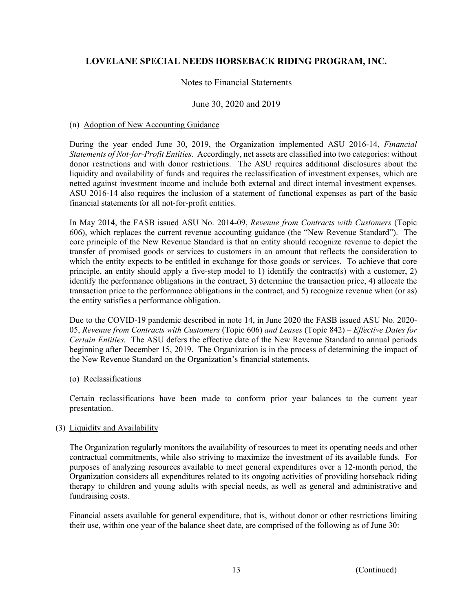## Notes to Financial Statements

### June 30, 2020 and 2019

#### (n) Adoption of New Accounting Guidance

During the year ended June 30, 2019, the Organization implemented ASU 2016-14, *Financial Statements of Not-for-Profit Entities*. Accordingly, net assets are classified into two categories: without donor restrictions and with donor restrictions. The ASU requires additional disclosures about the liquidity and availability of funds and requires the reclassification of investment expenses, which are netted against investment income and include both external and direct internal investment expenses. ASU 2016-14 also requires the inclusion of a statement of functional expenses as part of the basic financial statements for all not-for-profit entities.

In May 2014, the FASB issued ASU No. 2014-09, *Revenue from Contracts with Customers* (Topic 606), which replaces the current revenue accounting guidance (the "New Revenue Standard"). The core principle of the New Revenue Standard is that an entity should recognize revenue to depict the transfer of promised goods or services to customers in an amount that reflects the consideration to which the entity expects to be entitled in exchange for those goods or services. To achieve that core principle, an entity should apply a five-step model to 1) identify the contract(s) with a customer, 2) identify the performance obligations in the contract, 3) determine the transaction price, 4) allocate the transaction price to the performance obligations in the contract, and 5) recognize revenue when (or as) the entity satisfies a performance obligation.

Due to the COVID-19 pandemic described in note 14, in June 2020 the FASB issued ASU No. 2020- 05, *Revenue from Contracts with Customers* (Topic 606) *and Leases* (Topic 842) – *Effective Dates for Certain Entities.* The ASU defers the effective date of the New Revenue Standard to annual periods beginning after December 15, 2019. The Organization is in the process of determining the impact of the New Revenue Standard on the Organization's financial statements.

#### (o) Reclassifications

Certain reclassifications have been made to conform prior year balances to the current year presentation.

### (3) Liquidity and Availability

The Organization regularly monitors the availability of resources to meet its operating needs and other contractual commitments, while also striving to maximize the investment of its available funds. For purposes of analyzing resources available to meet general expenditures over a 12-month period, the Organization considers all expenditures related to its ongoing activities of providing horseback riding therapy to children and young adults with special needs, as well as general and administrative and fundraising costs.

Financial assets available for general expenditure, that is, without donor or other restrictions limiting their use, within one year of the balance sheet date, are comprised of the following as of June 30: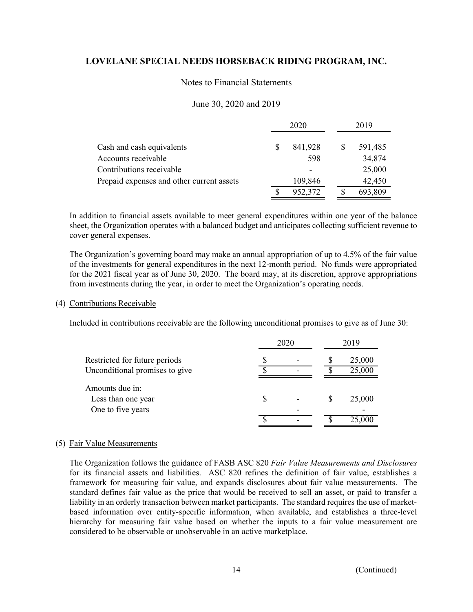### Notes to Financial Statements

### June 30, 2020 and 2019

|                                           | 2020 |         |   | 2019 |         |
|-------------------------------------------|------|---------|---|------|---------|
| Cash and cash equivalents                 |      | 841,928 | S |      | 591,485 |
| Accounts receivable                       |      | 598     |   |      | 34,874  |
| Contributions receivable                  |      |         |   |      | 25,000  |
| Prepaid expenses and other current assets |      | 109,846 |   |      | 42,450  |
|                                           |      | 952,372 |   |      | 693,809 |

In addition to financial assets available to meet general expenditures within one year of the balance sheet, the Organization operates with a balanced budget and anticipates collecting sufficient revenue to cover general expenses.

The Organization's governing board may make an annual appropriation of up to 4.5% of the fair value of the investments for general expenditures in the next 12-month period. No funds were appropriated for the 2021 fiscal year as of June 30, 2020. The board may, at its discretion, approve appropriations from investments during the year, in order to meet the Organization's operating needs.

#### (4) Contributions Receivable

Included in contributions receivable are the following unconditional promises to give as of June 30:

|                                | 2020 | 2019 |        |  |
|--------------------------------|------|------|--------|--|
| Restricted for future periods  |      |      | 25,000 |  |
| Unconditional promises to give |      |      | 25,000 |  |
| Amounts due in:                |      |      |        |  |
| Less than one year             |      |      | 25,000 |  |
| One to five years              |      |      |        |  |
|                                |      |      | 25,000 |  |

#### (5) Fair Value Measurements

 The Organization follows the guidance of FASB ASC 820 *Fair Value Measurements and Disclosures* for its financial assets and liabilities. ASC 820 refines the definition of fair value, establishes a framework for measuring fair value, and expands disclosures about fair value measurements. The standard defines fair value as the price that would be received to sell an asset, or paid to transfer a liability in an orderly transaction between market participants. The standard requires the use of marketbased information over entity-specific information, when available, and establishes a three-level hierarchy for measuring fair value based on whether the inputs to a fair value measurement are considered to be observable or unobservable in an active marketplace.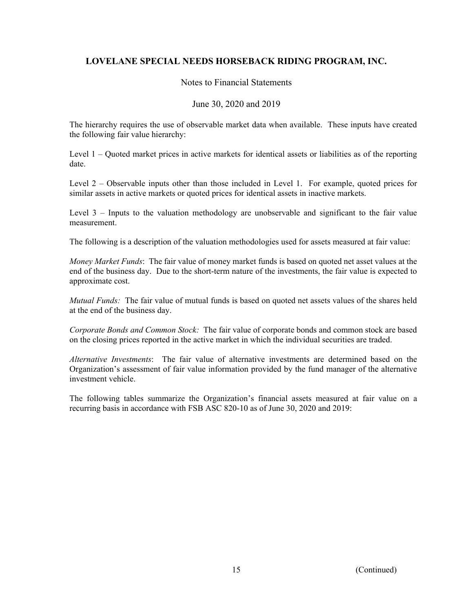## Notes to Financial Statements

## June 30, 2020 and 2019

 The hierarchy requires the use of observable market data when available. These inputs have created the following fair value hierarchy:

Level 1 – Quoted market prices in active markets for identical assets or liabilities as of the reporting date.

Level 2 *–* Observable inputs other than those included in Level 1. For example, quoted prices for similar assets in active markets or quoted prices for identical assets in inactive markets.

Level 3 *–* Inputs to the valuation methodology are unobservable and significant to the fair value measurement.

The following is a description of the valuation methodologies used for assets measured at fair value:

*Money Market Funds*: The fair value of money market funds is based on quoted net asset values at the end of the business day. Due to the short-term nature of the investments, the fair value is expected to approximate cost.

*Mutual Funds:* The fair value of mutual funds is based on quoted net assets values of the shares held at the end of the business day.

*Corporate Bonds and Common Stock:* The fair value of corporate bonds and common stock are based on the closing prices reported in the active market in which the individual securities are traded.

*Alternative Investments*: The fair value of alternative investments are determined based on the Organization's assessment of fair value information provided by the fund manager of the alternative investment vehicle.

The following tables summarize the Organization's financial assets measured at fair value on a recurring basis in accordance with FSB ASC 820-10 as of June 30, 2020 and 2019: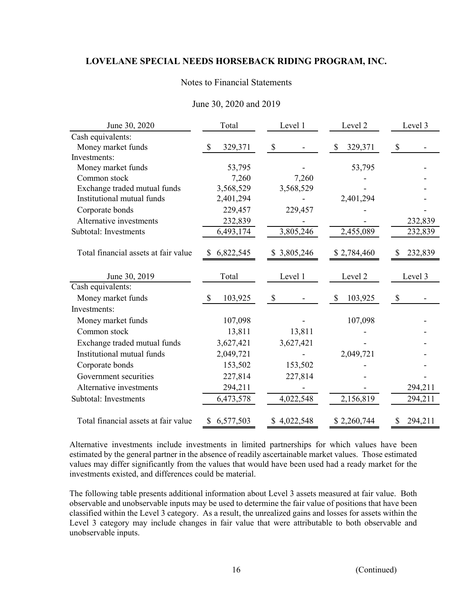## Notes to Financial Statements

| June 30, 2020                        | Total<br>Level 1         |                           | Level 2       | Level 3                   |
|--------------------------------------|--------------------------|---------------------------|---------------|---------------------------|
| Cash equivalents:                    |                          |                           |               |                           |
| Money market funds                   | $\mathcal{S}$<br>329,371 | $\boldsymbol{\mathsf{S}}$ | 329,371<br>\$ | $\boldsymbol{\mathsf{S}}$ |
| Investments:                         |                          |                           |               |                           |
| Money market funds                   | 53,795                   |                           | 53,795        |                           |
| Common stock                         | 7,260                    | 7,260                     |               |                           |
| Exchange traded mutual funds         | 3,568,529                | 3,568,529                 |               |                           |
| Institutional mutual funds           | 2,401,294                |                           | 2,401,294     |                           |
| Corporate bonds                      | 229,457                  | 229,457                   |               |                           |
| Alternative investments              | 232,839                  |                           |               | 232,839                   |
| Subtotal: Investments                | 6,493,174                | 3,805,246                 | 2,455,089     | 232,839                   |
| Total financial assets at fair value | 6,822,545<br>\$          | \$ 3,805,246              | \$2,784,460   | 232,839<br>\$             |
|                                      |                          |                           |               |                           |
| June 30, 2019                        | Total                    | Level 1                   | Level 2       | Level 3                   |
| Cash equivalents:                    |                          |                           |               |                           |
| Money market funds                   | $\mathcal{S}$<br>103,925 | \$                        | 103,925<br>\$ | \$                        |
| Investments:                         |                          |                           |               |                           |
| Money market funds                   | 107,098                  |                           | 107,098       |                           |
| Common stock                         | 13,811                   | 13,811                    |               |                           |
| Exchange traded mutual funds         | 3,627,421                | 3,627,421                 |               |                           |
| Institutional mutual funds           | 2,049,721                |                           | 2,049,721     |                           |
| Corporate bonds                      | 153,502                  | 153,502                   |               |                           |
| Government securities                | 227,814                  | 227,814                   |               |                           |
| Alternative investments              | 294,211                  |                           |               | 294,211                   |
| Subtotal: Investments                | 6,473,578                | 4,022,548                 | 2,156,819     | 294,211                   |
| Total financial assets at fair value | 6,577,503<br>\$          | \$4,022,548               | \$2,260,744   | 294,211<br>\$             |

## June 30, 2020 and 2019

Alternative investments include investments in limited partnerships for which values have been estimated by the general partner in the absence of readily ascertainable market values. Those estimated values may differ significantly from the values that would have been used had a ready market for the investments existed, and differences could be material.

The following table presents additional information about Level 3 assets measured at fair value. Both observable and unobservable inputs may be used to determine the fair value of positions that have been classified within the Level 3 category. As a result, the unrealized gains and losses for assets within the Level 3 category may include changes in fair value that were attributable to both observable and unobservable inputs.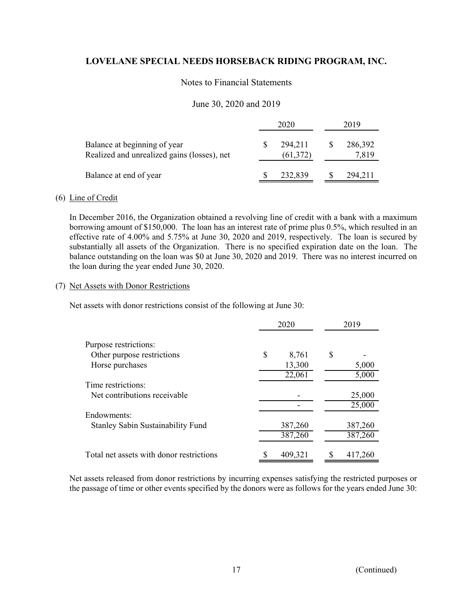## Notes to Financial Statements

## June 30, 2020 and 2019

|                                                                             | 2020                 |         | 2019             |
|-----------------------------------------------------------------------------|----------------------|---------|------------------|
| Balance at beginning of year<br>Realized and unrealized gains (losses), net | 294,211<br>(61, 372) |         | 286,392<br>7,819 |
| Balance at end of year                                                      |                      | 232,839 | 294.211          |

#### (6) Line of Credit

In December 2016, the Organization obtained a revolving line of credit with a bank with a maximum borrowing amount of \$150,000. The loan has an interest rate of prime plus 0.5%, which resulted in an effective rate of 4.00% and 5.75% at June 30, 2020 and 2019, respectively. The loan is secured by substantially all assets of the Organization. There is no specified expiration date on the loan. The balance outstanding on the loan was \$0 at June 30, 2020 and 2019. There was no interest incurred on the loan during the year ended June 30, 2020.

#### (7) Net Assets with Donor Restrictions

Net assets with donor restrictions consist of the following at June 30:

|                                          | 2020 |         | 2019    |
|------------------------------------------|------|---------|---------|
| Purpose restrictions:                    |      |         |         |
| Other purpose restrictions               | \$   | 8,761   | \$      |
| Horse purchases                          |      | 13,300  | 5,000   |
|                                          |      | 22,061  | 5,000   |
| Time restrictions:                       |      |         |         |
| Net contributions receivable             |      |         | 25,000  |
|                                          |      |         | 25,000  |
| Endowments:                              |      |         |         |
| <b>Stanley Sabin Sustainability Fund</b> |      | 387,260 | 387,260 |
|                                          |      | 387,260 | 387,260 |
| Total net assets with donor restrictions |      | 409,321 | 417,260 |

Net assets released from donor restrictions by incurring expenses satisfying the restricted purposes or the passage of time or other events specified by the donors were as follows for the years ended June 30: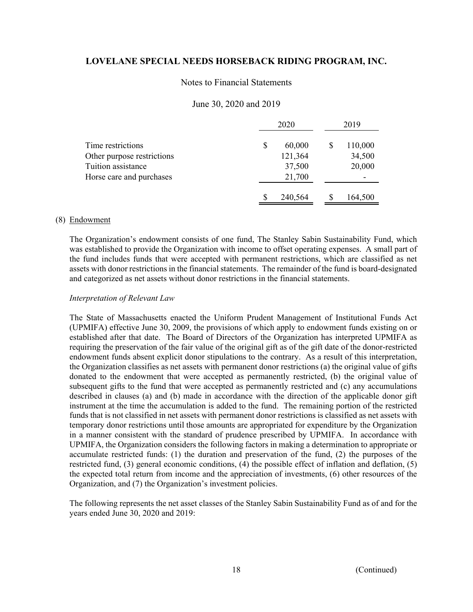#### Notes to Financial Statements

### June 30, 2020 and 2019

|                            | 2020         | 2019    |  |
|----------------------------|--------------|---------|--|
| Time restrictions          | \$<br>60,000 | 110,000 |  |
| Other purpose restrictions | 121,364      | 34,500  |  |
| Tuition assistance         | 37,500       | 20,000  |  |
| Horse care and purchases   | 21,700       |         |  |
|                            | 240,564      | 164,500 |  |

#### (8) Endowment

 The Organization's endowment consists of one fund, The Stanley Sabin Sustainability Fund, which was established to provide the Organization with income to offset operating expenses. A small part of the fund includes funds that were accepted with permanent restrictions, which are classified as net assets with donor restrictions in the financial statements. The remainder of the fund is board-designated and categorized as net assets without donor restrictions in the financial statements.

#### *Interpretation of Relevant Law*

The State of Massachusetts enacted the Uniform Prudent Management of Institutional Funds Act (UPMIFA) effective June 30, 2009, the provisions of which apply to endowment funds existing on or established after that date. The Board of Directors of the Organization has interpreted UPMIFA as requiring the preservation of the fair value of the original gift as of the gift date of the donor-restricted endowment funds absent explicit donor stipulations to the contrary. As a result of this interpretation, the Organization classifies as net assets with permanent donor restrictions (a) the original value of gifts donated to the endowment that were accepted as permanently restricted, (b) the original value of subsequent gifts to the fund that were accepted as permanently restricted and (c) any accumulations described in clauses (a) and (b) made in accordance with the direction of the applicable donor gift instrument at the time the accumulation is added to the fund. The remaining portion of the restricted funds that is not classified in net assets with permanent donor restrictions is classified as net assets with temporary donor restrictions until those amounts are appropriated for expenditure by the Organization in a manner consistent with the standard of prudence prescribed by UPMIFA. In accordance with UPMIFA, the Organization considers the following factors in making a determination to appropriate or accumulate restricted funds: (1) the duration and preservation of the fund, (2) the purposes of the restricted fund, (3) general economic conditions, (4) the possible effect of inflation and deflation, (5) the expected total return from income and the appreciation of investments, (6) other resources of the Organization, and (7) the Organization's investment policies.

The following represents the net asset classes of the Stanley Sabin Sustainability Fund as of and for the years ended June 30, 2020 and 2019: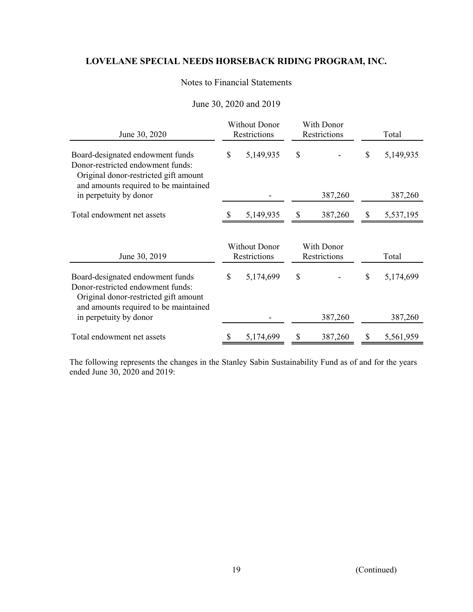## Notes to Financial Statements

# June 30, 2020 and 2019

| June 30, 2020                                                                                                                                           | <b>Without Donor</b><br>Restrictions |           | With Donor<br>Restrictions |         | Total |           |
|---------------------------------------------------------------------------------------------------------------------------------------------------------|--------------------------------------|-----------|----------------------------|---------|-------|-----------|
| Board-designated endowment funds<br>Donor-restricted endowment funds:<br>Original donor-restricted gift amount<br>and amounts required to be maintained | \$                                   | 5,149,935 | \$                         |         | \$    | 5,149,935 |
| in perpetuity by donor                                                                                                                                  |                                      |           |                            | 387,260 |       | 387,260   |
| Total endowment net assets                                                                                                                              |                                      | 5,149,935 | \$                         | 387,260 | \$    | 5,537,195 |
| June 30, 2019                                                                                                                                           | <b>Without Donor</b><br>Restrictions |           | With Donor<br>Restrictions |         | Total |           |
| Board-designated endowment funds<br>Donor-restricted endowment funds:<br>Original donor-restricted gift amount<br>and amounts required to be maintained | \$                                   | 5,174,699 | \$                         |         | \$    | 5,174,699 |
| in perpetuity by donor                                                                                                                                  |                                      |           |                            | 387,260 |       | 387,260   |
| Total endowment net assets                                                                                                                              |                                      | 5,174,699 | \$                         | 387,260 | \$    | 5,561,959 |

The following represents the changes in the Stanley Sabin Sustainability Fund as of and for the years ended June 30, 2020 and 2019: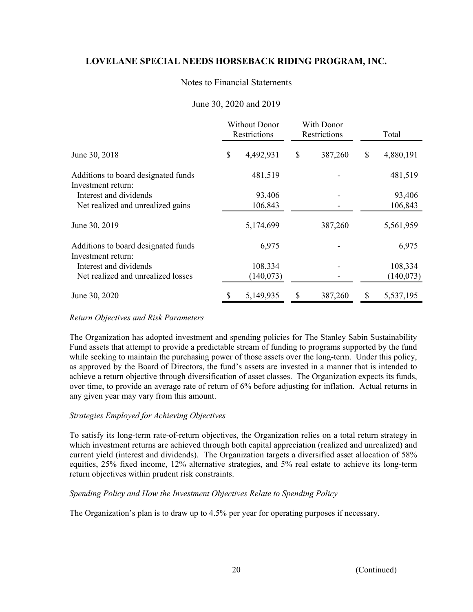## Notes to Financial Statements

## June 30, 2020 and 2019

|                                     | Without Donor<br>Restrictions |           | With Donor<br>Restrictions |         | Total |           |
|-------------------------------------|-------------------------------|-----------|----------------------------|---------|-------|-----------|
| June 30, 2018                       | \$                            | 4,492,931 | \$                         | 387,260 | \$    | 4,880,191 |
| Additions to board designated funds |                               | 481,519   |                            |         |       | 481,519   |
| Investment return:                  |                               |           |                            |         |       |           |
| Interest and dividends              |                               | 93,406    |                            |         |       | 93,406    |
| Net realized and unrealized gains   |                               | 106,843   |                            |         |       | 106,843   |
| June 30, 2019                       |                               | 5,174,699 |                            | 387,260 |       | 5,561,959 |
| Additions to board designated funds |                               | 6,975     |                            |         |       | 6,975     |
| Investment return:                  |                               |           |                            |         |       |           |
| Interest and dividends              |                               | 108,334   |                            |         |       | 108,334   |
| Net realized and unrealized losses  |                               | (140,073) |                            |         |       | (140,073) |
| June 30, 2020                       |                               | 5,149,935 | S                          | 387,260 |       | 5,537,195 |

### *Return Objectives and Risk Parameters*

The Organization has adopted investment and spending policies for The Stanley Sabin Sustainability Fund assets that attempt to provide a predictable stream of funding to programs supported by the fund while seeking to maintain the purchasing power of those assets over the long-term. Under this policy, as approved by the Board of Directors, the fund's assets are invested in a manner that is intended to achieve a return objective through diversification of asset classes. The Organization expects its funds, over time, to provide an average rate of return of 6% before adjusting for inflation. Actual returns in any given year may vary from this amount.

### *Strategies Employed for Achieving Objectives*

To satisfy its long-term rate-of-return objectives, the Organization relies on a total return strategy in which investment returns are achieved through both capital appreciation (realized and unrealized) and current yield (interest and dividends). The Organization targets a diversified asset allocation of 58% equities, 25% fixed income, 12% alternative strategies, and 5% real estate to achieve its long-term return objectives within prudent risk constraints.

### *Spending Policy and How the Investment Objectives Relate to Spending Policy*

The Organization's plan is to draw up to 4.5% per year for operating purposes if necessary.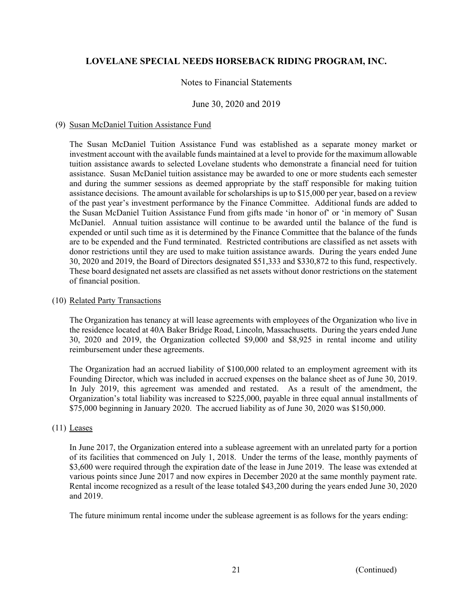## Notes to Financial Statements

## June 30, 2020 and 2019

### (9) Susan McDaniel Tuition Assistance Fund

The Susan McDaniel Tuition Assistance Fund was established as a separate money market or investment account with the available funds maintained at a level to provide for the maximum allowable tuition assistance awards to selected Lovelane students who demonstrate a financial need for tuition assistance. Susan McDaniel tuition assistance may be awarded to one or more students each semester and during the summer sessions as deemed appropriate by the staff responsible for making tuition assistance decisions. The amount available for scholarships is up to \$15,000 per year, based on a review of the past year's investment performance by the Finance Committee. Additional funds are added to the Susan McDaniel Tuition Assistance Fund from gifts made 'in honor of' or 'in memory of' Susan McDaniel. Annual tuition assistance will continue to be awarded until the balance of the fund is expended or until such time as it is determined by the Finance Committee that the balance of the funds are to be expended and the Fund terminated. Restricted contributions are classified as net assets with donor restrictions until they are used to make tuition assistance awards. During the years ended June 30, 2020 and 2019, the Board of Directors designated \$51,333 and \$330,872 to this fund, respectively. These board designated net assets are classified as net assets without donor restrictions on the statement of financial position.

#### (10) Related Party Transactions

The Organization has tenancy at will lease agreements with employees of the Organization who live in the residence located at 40A Baker Bridge Road, Lincoln, Massachusetts. During the years ended June 30, 2020 and 2019, the Organization collected \$9,000 and \$8,925 in rental income and utility reimbursement under these agreements.

 The Organization had an accrued liability of \$100,000 related to an employment agreement with its Founding Director, which was included in accrued expenses on the balance sheet as of June 30, 2019. In July 2019, this agreement was amended and restated. As a result of the amendment, the Organization's total liability was increased to \$225,000, payable in three equal annual installments of \$75,000 beginning in January 2020. The accrued liability as of June 30, 2020 was \$150,000.

### (11) Leases

In June 2017, the Organization entered into a sublease agreement with an unrelated party for a portion of its facilities that commenced on July 1, 2018. Under the terms of the lease, monthly payments of \$3,600 were required through the expiration date of the lease in June 2019. The lease was extended at various points since June 2017 and now expires in December 2020 at the same monthly payment rate. Rental income recognized as a result of the lease totaled \$43,200 during the years ended June 30, 2020 and 2019.

The future minimum rental income under the sublease agreement is as follows for the years ending: